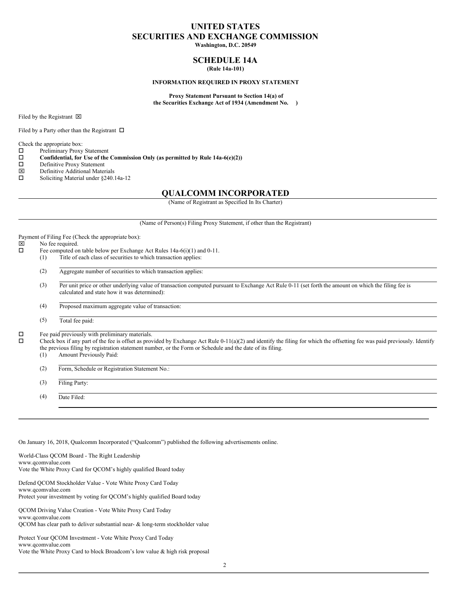# **UNITED STATES SECURITIES AND EXCHANGE COMMISSION**

**Washington, D.C. 20549**

## **SCHEDULE 14A (Rule 14a-101)**

### **INFORMATION REQUIRED IN PROXY STATEMENT**

**Proxy Statement Pursuant to Section 14(a) of the Securities Exchange Act of 1934 (Amendment No. )**

Filed by the Registrant  $\boxtimes$ 

Filed by a Party other than the Registrant  $\Box$ 

Check the appropriate box:

 $\square$  Preliminary Proxy Statement<br> $\square$  Confidential, for Use of the

**Confidential, for** Use of the Commission Only (as permitted by Rule 14a-6(e)(2))  $\Box$  Definitive Proxy Statement

- $\square$  Definitive Proxy Statement<br> $\square$  Definitive Additional Mater
- Definitive Additional Materials
- $\square$  Soliciting Material under §240.14a-12

# **QUALCOMM INCORPORATED**

(Name of Registrant as Specified In Its Charter)

(Name of Person(s) Filing Proxy Statement, if other than the Registrant)

Payment of Filing Fee (Check the appropriate box):

- **x** No fee required.
- $\square$  Fee computed on table below per Exchange Act Rules 14a-6(i)(1) and 0-11.

(1) Title of each class of securities to which transaction applies:

(2) Aggregate number of securities to which transaction applies:

(3) Per unit price or other underlying value of transaction computed pursuant to Exchange Act Rule 0-11 (set forth the amount on which the filing fee is calculated and state how it was determined):

(4) Proposed maximum aggregate value of transaction:

(5) Total fee paid:

 $\square$  Fee paid previously with preliminary materials.

 $\Box$  Check box if any part of the fee is offset as provided by Exchange Act Rule 0-11(a)(2) and identify the filing for which the offsetting fee was paid previously. Identify the previous filing by registration statement number, or the Form or Schedule and the date of its filing.

- (1) Amount Previously Paid:
- (2) Form, Schedule or Registration Statement No.:

(3) Filing Party:

(4) Date Filed:

On January 16, 2018, Qualcomm Incorporated ("Qualcomm") published the following advertisements online.

World-Class QCOM Board - The Right Leadership www.qcomvalue.com Vote the White Proxy Card for QCOM's highly qualified Board today

Defend QCOM Stockholder Value - Vote White Proxy Card Today www.qcomvalue.com Protect your investment by voting for QCOM's highly qualified Board today

QCOM Driving Value Creation - Vote White Proxy Card Today www.qcomvalue.com QCOM has clear path to deliver substantial near- & long-term stockholder value

Protect Your QCOM Investment - Vote White Proxy Card Today www.qcomvalue.com Vote the White Proxy Card to block Broadcom's low value & high risk proposal